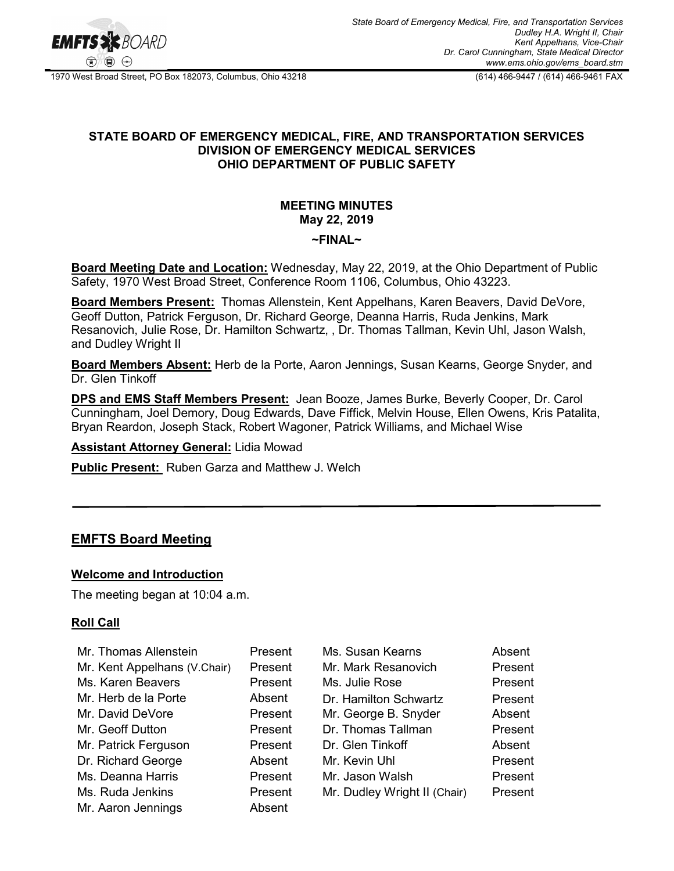

1970 West Broad Street, PO Box 182073, Columbus, Ohio 43218 (614) 466-9447 / (614) 466-9461 FAX

### **STATE BOARD OF EMERGENCY MEDICAL, FIRE, AND TRANSPORTATION SERVICES DIVISION OF EMERGENCY MEDICAL SERVICES OHIO DEPARTMENT OF PUBLIC SAFETY**

## **MEETING MINUTES May 22, 2019**

#### **~FINAL~**

**Board Meeting Date and Location:** Wednesday, May 22, 2019, at the Ohio Department of Public Safety, 1970 West Broad Street, Conference Room 1106, Columbus, Ohio 43223.

**Board Members Present:** Thomas Allenstein, Kent Appelhans, Karen Beavers, David DeVore, Geoff Dutton, Patrick Ferguson, Dr. Richard George, Deanna Harris, Ruda Jenkins, Mark Resanovich, Julie Rose, Dr. Hamilton Schwartz, , Dr. Thomas Tallman, Kevin Uhl, Jason Walsh, and Dudley Wright II

**Board Members Absent:** Herb de la Porte, Aaron Jennings, Susan Kearns, George Snyder, and Dr. Glen Tinkoff

**DPS and EMS Staff Members Present:** Jean Booze, James Burke, Beverly Cooper, Dr. Carol Cunningham, Joel Demory, Doug Edwards, Dave Fiffick, Melvin House, Ellen Owens, Kris Patalita, Bryan Reardon, Joseph Stack, Robert Wagoner, Patrick Williams, and Michael Wise

**Assistant Attorney General:** Lidia Mowad

**Public Present:** Ruben Garza and Matthew J. Welch

## **EMFTS Board Meeting**

#### **Welcome and Introduction**

The meeting began at 10:04 a.m.

#### **Roll Call**

| Mr. Thomas Allenstein        | Present | Ms. Susan Kearns             | Absent  |
|------------------------------|---------|------------------------------|---------|
| Mr. Kent Appelhans (V.Chair) | Present | Mr. Mark Resanovich          | Present |
| Ms. Karen Beavers            | Present | Ms. Julie Rose               | Present |
| Mr. Herb de la Porte         | Absent  | Dr. Hamilton Schwartz        | Present |
| Mr. David DeVore             | Present | Mr. George B. Snyder         | Absent  |
| Mr. Geoff Dutton             | Present | Dr. Thomas Tallman           | Present |
| Mr. Patrick Ferguson         | Present | Dr. Glen Tinkoff             | Absent  |
| Dr. Richard George           | Absent  | Mr. Kevin Uhl                | Present |
| Ms. Deanna Harris            | Present | Mr. Jason Walsh              | Present |
| Ms. Ruda Jenkins             | Present | Mr. Dudley Wright II (Chair) | Present |
| Mr. Aaron Jennings           | Absent  |                              |         |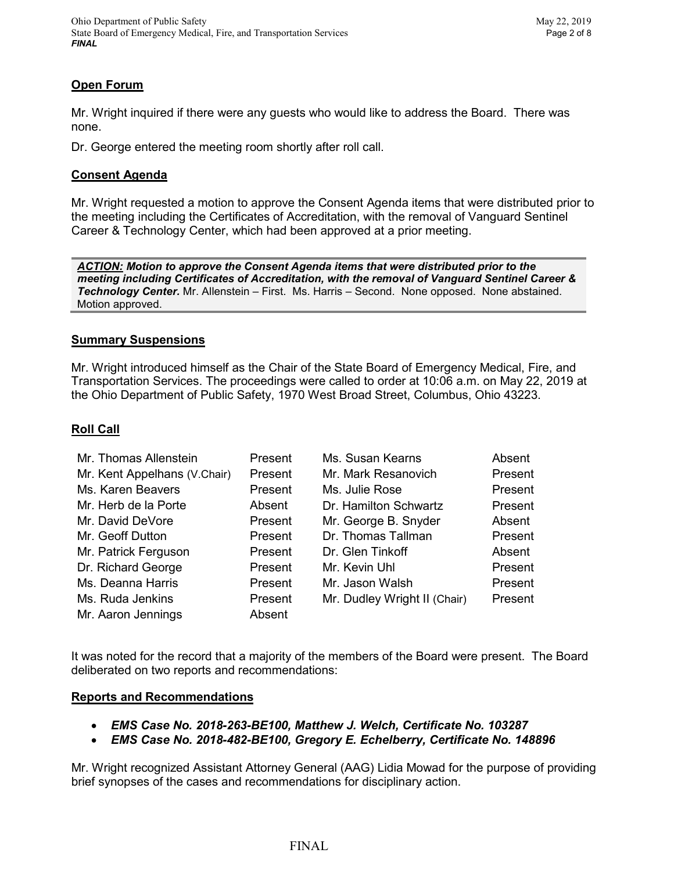## **Open Forum**

Mr. Wright inquired if there were any guests who would like to address the Board. There was none.

Dr. George entered the meeting room shortly after roll call.

### **Consent Agenda**

Mr. Wright requested a motion to approve the Consent Agenda items that were distributed prior to the meeting including the Certificates of Accreditation, with the removal of Vanguard Sentinel Career & Technology Center, which had been approved at a prior meeting.

*ACTION: Motion to approve the Consent Agenda items that were distributed prior to the meeting including Certificates of Accreditation, with the removal of Vanguard Sentinel Career & Technology Center.* Mr. Allenstein – First. Ms. Harris – Second. None opposed. None abstained. Motion approved.

### **Summary Suspensions**

Mr. Wright introduced himself as the Chair of the State Board of Emergency Medical, Fire, and Transportation Services. The proceedings were called to order at 10:06 a.m. on May 22, 2019 at the Ohio Department of Public Safety, 1970 West Broad Street, Columbus, Ohio 43223.

## **Roll Call**

| Mr. Thomas Allenstein        | Present | Ms. Susan Kearns             | Absent  |
|------------------------------|---------|------------------------------|---------|
| Mr. Kent Appelhans (V.Chair) | Present | Mr. Mark Resanovich          | Present |
| Ms. Karen Beavers            | Present | Ms. Julie Rose               | Present |
| Mr. Herb de la Porte         | Absent  | Dr. Hamilton Schwartz        | Present |
| Mr. David DeVore             | Present | Mr. George B. Snyder         | Absent  |
| Mr. Geoff Dutton             | Present | Dr. Thomas Tallman           | Present |
| Mr. Patrick Ferguson         | Present | Dr. Glen Tinkoff             | Absent  |
| Dr. Richard George           | Present | Mr. Kevin Uhl                | Present |
| Ms. Deanna Harris            | Present | Mr. Jason Walsh              | Present |
| Ms. Ruda Jenkins             | Present | Mr. Dudley Wright II (Chair) | Present |
| Mr. Aaron Jennings           | Absent  |                              |         |

It was noted for the record that a majority of the members of the Board were present. The Board deliberated on two reports and recommendations:

#### **Reports and Recommendations**

- *EMS Case No. 2018-263-BE100, Matthew J. Welch, Certificate No. 103287*
- *EMS Case No. 2018-482-BE100, Gregory E. Echelberry, Certificate No. 148896*

Mr. Wright recognized Assistant Attorney General (AAG) Lidia Mowad for the purpose of providing brief synopses of the cases and recommendations for disciplinary action.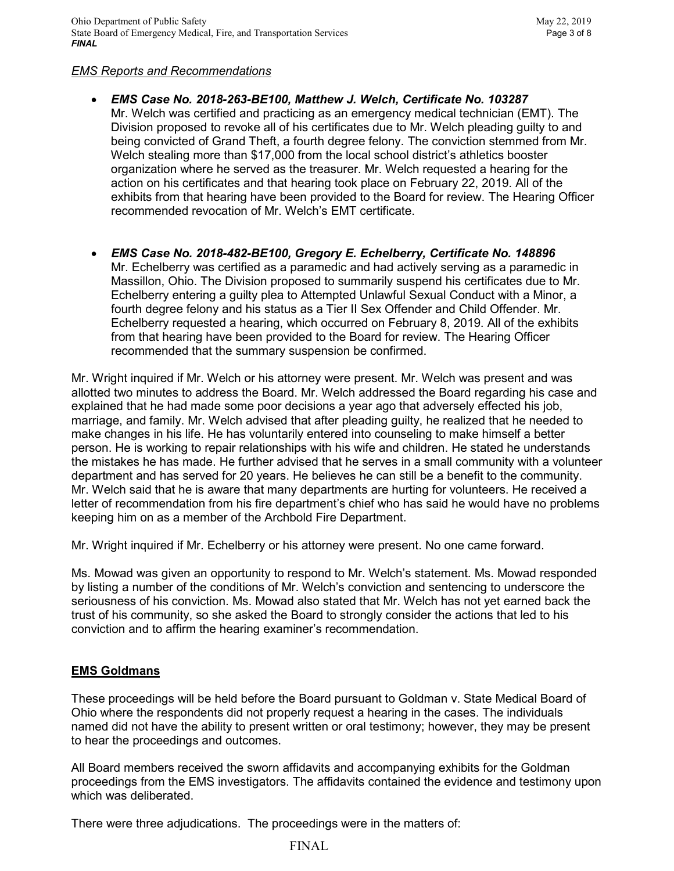### *EMS Reports and Recommendations*

- *EMS Case No. 2018-263-BE100, Matthew J. Welch, Certificate No. 103287* Mr. Welch was certified and practicing as an emergency medical technician (EMT). The Division proposed to revoke all of his certificates due to Mr. Welch pleading guilty to and being convicted of Grand Theft, a fourth degree felony. The conviction stemmed from Mr. Welch stealing more than \$17,000 from the local school district's athletics booster organization where he served as the treasurer. Mr. Welch requested a hearing for the action on his certificates and that hearing took place on February 22, 2019. All of the exhibits from that hearing have been provided to the Board for review. The Hearing Officer recommended revocation of Mr. Welch's EMT certificate.
- *EMS Case No. 2018-482-BE100, Gregory E. Echelberry, Certificate No. 148896* Mr. Echelberry was certified as a paramedic and had actively serving as a paramedic in Massillon, Ohio. The Division proposed to summarily suspend his certificates due to Mr. Echelberry entering a guilty plea to Attempted Unlawful Sexual Conduct with a Minor, a fourth degree felony and his status as a Tier II Sex Offender and Child Offender. Mr. Echelberry requested a hearing, which occurred on February 8, 2019. All of the exhibits from that hearing have been provided to the Board for review. The Hearing Officer recommended that the summary suspension be confirmed.

Mr. Wright inquired if Mr. Welch or his attorney were present. Mr. Welch was present and was allotted two minutes to address the Board. Mr. Welch addressed the Board regarding his case and explained that he had made some poor decisions a year ago that adversely effected his job, marriage, and family. Mr. Welch advised that after pleading guilty, he realized that he needed to make changes in his life. He has voluntarily entered into counseling to make himself a better person. He is working to repair relationships with his wife and children. He stated he understands the mistakes he has made. He further advised that he serves in a small community with a volunteer department and has served for 20 years. He believes he can still be a benefit to the community. Mr. Welch said that he is aware that many departments are hurting for volunteers. He received a letter of recommendation from his fire department's chief who has said he would have no problems keeping him on as a member of the Archbold Fire Department.

Mr. Wright inquired if Mr. Echelberry or his attorney were present. No one came forward.

Ms. Mowad was given an opportunity to respond to Mr. Welch's statement. Ms. Mowad responded by listing a number of the conditions of Mr. Welch's conviction and sentencing to underscore the seriousness of his conviction. Ms. Mowad also stated that Mr. Welch has not yet earned back the trust of his community, so she asked the Board to strongly consider the actions that led to his conviction and to affirm the hearing examiner's recommendation.

## **EMS Goldmans**

These proceedings will be held before the Board pursuant to Goldman v. State Medical Board of Ohio where the respondents did not properly request a hearing in the cases. The individuals named did not have the ability to present written or oral testimony; however, they may be present to hear the proceedings and outcomes.

All Board members received the sworn affidavits and accompanying exhibits for the Goldman proceedings from the EMS investigators. The affidavits contained the evidence and testimony upon which was deliberated.

There were three adjudications. The proceedings were in the matters of: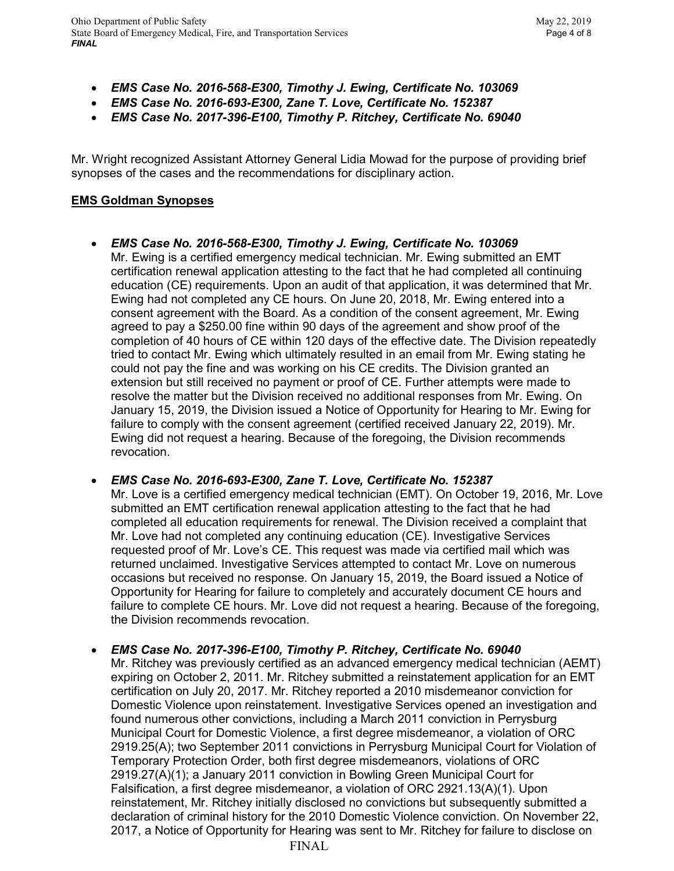- *EMS Case No. 2016-568-E300, Timothy J. Ewing, Certificate No. 103069*
- *EMS Case No. 2016-693-E300, Zane T. Love, Certificate No. 152387*
- *EMS Case No. 2017-396-E100, Timothy P. Ritchey, Certificate No. 69040*

Mr. Wright recognized Assistant Attorney General Lidia Mowad for the purpose of providing brief synopses of the cases and the recommendations for disciplinary action.

## **EMS Goldman Synopses**

• *EMS Case No. 2016-568-E300, Timothy J. Ewing, Certificate No. 103069* Mr. Ewing is a certified emergency medical technician. Mr. Ewing submitted an EMT certification renewal application attesting to the fact that he had completed all continuing education (CE) requirements. Upon an audit of that application, it was determined that Mr. Ewing had not completed any CE hours. On June 20, 2018, Mr. Ewing entered into a consent agreement with the Board. As a condition of the consent agreement, Mr. Ewing agreed to pay a \$250.00 fine within 90 days of the agreement and show proof of the completion of 40 hours of CE within 120 days of the effective date. The Division repeatedly tried to contact Mr. Ewing which ultimately resulted in an email from Mr. Ewing stating he could not pay the fine and was working on his CE credits. The Division granted an extension but still received no payment or proof of CE. Further attempts were made to resolve the matter but the Division received no additional responses from Mr. Ewing. On January 15, 2019, the Division issued a Notice of Opportunity for Hearing to Mr. Ewing for failure to comply with the consent agreement (certified received January 22, 2019). Mr. Ewing did not request a hearing. Because of the foregoing, the Division recommends revocation.

• *EMS Case No. 2016-693-E300, Zane T. Love, Certificate No. 152387*

Mr. Love is a certified emergency medical technician (EMT). On October 19, 2016, Mr. Love submitted an EMT certification renewal application attesting to the fact that he had completed all education requirements for renewal. The Division received a complaint that Mr. Love had not completed any continuing education (CE). Investigative Services requested proof of Mr. Love's CE. This request was made via certified mail which was returned unclaimed. Investigative Services attempted to contact Mr. Love on numerous occasions but received no response. On January 15, 2019, the Board issued a Notice of Opportunity for Hearing for failure to completely and accurately document CE hours and failure to complete CE hours. Mr. Love did not request a hearing. Because of the foregoing, the Division recommends revocation.

• *EMS Case No. 2017-396-E100, Timothy P. Ritchey, Certificate No. 69040* Mr. Ritchey was previously certified as an advanced emergency medical technician (AEMT) expiring on October 2, 2011. Mr. Ritchey submitted a reinstatement application for an EMT certification on July 20, 2017. Mr. Ritchey reported a 2010 misdemeanor conviction for Domestic Violence upon reinstatement. Investigative Services opened an investigation and found numerous other convictions, including a March 2011 conviction in Perrysburg Municipal Court for Domestic Violence, a first degree misdemeanor, a violation of ORC 2919.25(A); two September 2011 convictions in Perrysburg Municipal Court for Violation of Temporary Protection Order, both first degree misdemeanors, violations of ORC 2919.27(A)(1); a January 2011 conviction in Bowling Green Municipal Court for Falsification, a first degree misdemeanor, a violation of ORC 2921.13(A)(1). Upon reinstatement, Mr. Ritchey initially disclosed no convictions but subsequently submitted a declaration of criminal history for the 2010 Domestic Violence conviction. On November 22, 2017, a Notice of Opportunity for Hearing was sent to Mr. Ritchey for failure to disclose on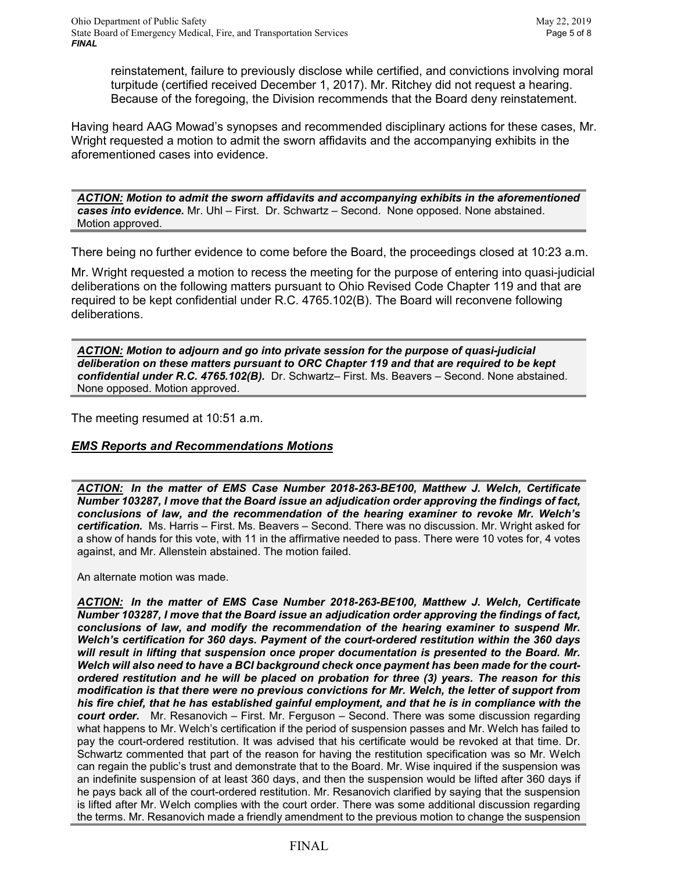reinstatement, failure to previously disclose while certified, and convictions involving moral turpitude (certified received December 1, 2017). Mr. Ritchey did not request a hearing. Because of the foregoing, the Division recommends that the Board deny reinstatement.

Having heard AAG Mowad's synopses and recommended disciplinary actions for these cases, Mr. Wright requested a motion to admit the sworn affidavits and the accompanying exhibits in the aforementioned cases into evidence.

*ACTION: Motion to admit the sworn affidavits and accompanying exhibits in the aforementioned cases into evidence.* Mr. Uhl – First. Dr. Schwartz – Second. None opposed. None abstained. Motion approved.

There being no further evidence to come before the Board, the proceedings closed at 10:23 a.m.

Mr. Wright requested a motion to recess the meeting for the purpose of entering into quasi-judicial deliberations on the following matters pursuant to Ohio Revised Code Chapter 119 and that are required to be kept confidential under R.C. 4765.102(B). The Board will reconvene following deliberations.

*ACTION: Motion to adjourn and go into private session for the purpose of quasi-judicial deliberation on these matters pursuant to ORC Chapter 119 and that are required to be kept confidential under R.C. 4765.102(B).* Dr. Schwartz– First. Ms. Beavers – Second. None abstained. None opposed. Motion approved.

The meeting resumed at 10:51 a.m.

#### *EMS Reports and Recommendations Motions*

*ACTION: In the matter of EMS Case Number 2018-263-BE100, Matthew J. Welch, Certificate Number 103287, I move that the Board issue an adjudication order approving the findings of fact, conclusions of law, and the recommendation of the hearing examiner to revoke Mr. Welch's certification.* Ms. Harris – First. Ms. Beavers – Second. There was no discussion. Mr. Wright asked for a show of hands for this vote, with 11 in the affirmative needed to pass. There were 10 votes for, 4 votes against, and Mr. Allenstein abstained. The motion failed.

An alternate motion was made.

*ACTION: In the matter of EMS Case Number 2018-263-BE100, Matthew J. Welch, Certificate Number 103287, I move that the Board issue an adjudication order approving the findings of fact, conclusions of law, and modify the recommendation of the hearing examiner to suspend Mr. Welch's certification for 360 days. Payment of the court-ordered restitution within the 360 days will result in lifting that suspension once proper documentation is presented to the Board. Mr. Welch will also need to have a BCI background check once payment has been made for the courtordered restitution and he will be placed on probation for three (3) years. The reason for this modification is that there were no previous convictions for Mr. Welch, the letter of support from his fire chief, that he has established gainful employment, and that he is in compliance with the court order.* Mr. Resanovich – First. Mr. Ferguson – Second. There was some discussion regarding what happens to Mr. Welch's certification if the period of suspension passes and Mr. Welch has failed to pay the court-ordered restitution. It was advised that his certificate would be revoked at that time. Dr. Schwartz commented that part of the reason for having the restitution specification was so Mr. Welch can regain the public's trust and demonstrate that to the Board. Mr. Wise inquired if the suspension was an indefinite suspension of at least 360 days, and then the suspension would be lifted after 360 days if he pays back all of the court-ordered restitution. Mr. Resanovich clarified by saying that the suspension is lifted after Mr. Welch complies with the court order. There was some additional discussion regarding the terms. Mr. Resanovich made a friendly amendment to the previous motion to change the suspension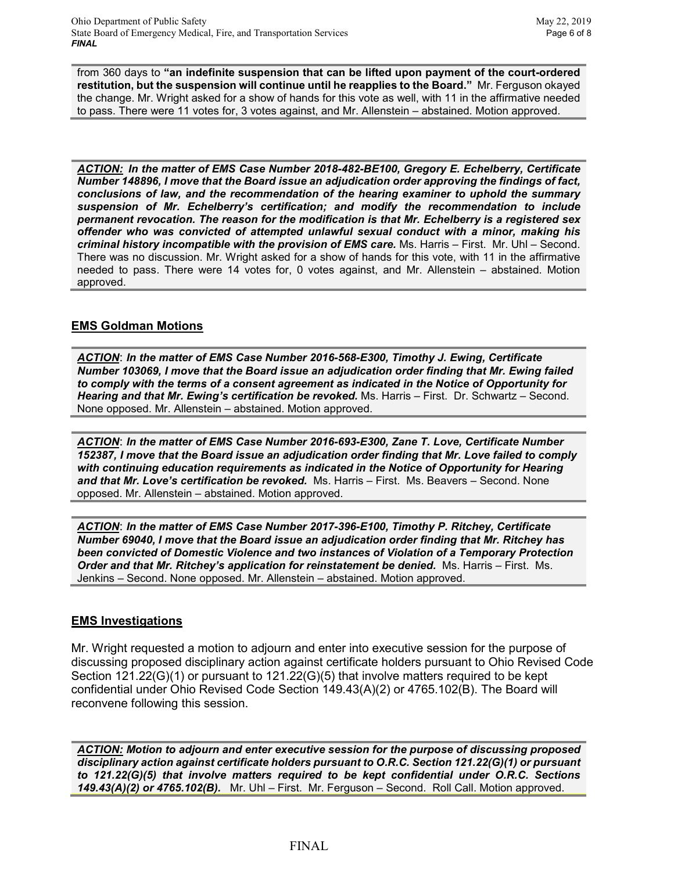from 360 days to **"an indefinite suspension that can be lifted upon payment of the court-ordered restitution, but the suspension will continue until he reapplies to the Board."** Mr. Ferguson okayed the change. Mr. Wright asked for a show of hands for this vote as well, with 11 in the affirmative needed to pass. There were 11 votes for, 3 votes against, and Mr. Allenstein – abstained. Motion approved.

*ACTION: In the matter of EMS Case Number 2018-482-BE100, Gregory E. Echelberry, Certificate Number 148896, I move that the Board issue an adjudication order approving the findings of fact, conclusions of law, and the recommendation of the hearing examiner to uphold the summary suspension of Mr. Echelberry's certification; and modify the recommendation to include permanent revocation. The reason for the modification is that Mr. Echelberry is a registered sex offender who was convicted of attempted unlawful sexual conduct with a minor, making his criminal history incompatible with the provision of EMS care.* Ms. Harris – First. Mr. Uhl – Second. There was no discussion. Mr. Wright asked for a show of hands for this vote, with 11 in the affirmative needed to pass. There were 14 votes for, 0 votes against, and Mr. Allenstein – abstained. Motion approved.

## **EMS Goldman Motions**

*ACTION*: *In the matter of EMS Case Number 2016-568-E300, Timothy J. Ewing, Certificate Number 103069, I move that the Board issue an adjudication order finding that Mr. Ewing failed to comply with the terms of a consent agreement as indicated in the Notice of Opportunity for Hearing and that Mr. Ewing's certification be revoked.* Ms. Harris – First. Dr. Schwartz – Second. None opposed. Mr. Allenstein – abstained. Motion approved.

*ACTION*: *In the matter of EMS Case Number 2016-693-E300, Zane T. Love, Certificate Number 152387, I move that the Board issue an adjudication order finding that Mr. Love failed to comply with continuing education requirements as indicated in the Notice of Opportunity for Hearing and that Mr. Love's certification be revoked.* Ms. Harris – First. Ms. Beavers – Second. None opposed. Mr. Allenstein – abstained. Motion approved.

*ACTION*: *In the matter of EMS Case Number 2017-396-E100, Timothy P. Ritchey, Certificate Number 69040, I move that the Board issue an adjudication order finding that Mr. Ritchey has been convicted of Domestic Violence and two instances of Violation of a Temporary Protection Order and that Mr. Ritchey's application for reinstatement be denied.* Ms. Harris – First. Ms. Jenkins – Second. None opposed. Mr. Allenstein – abstained. Motion approved.

## **EMS Investigations**

Mr. Wright requested a motion to adjourn and enter into executive session for the purpose of discussing proposed disciplinary action against certificate holders pursuant to Ohio Revised Code Section 121.22(G)(1) or pursuant to 121.22(G)(5) that involve matters required to be kept confidential under Ohio Revised Code Section 149.43(A)(2) or 4765.102(B). The Board will reconvene following this session.

*ACTION: Motion to adjourn and enter executive session for the purpose of discussing proposed disciplinary action against certificate holders pursuant to O.R.C. Section 121.22(G)(1) or pursuant to 121.22(G)(5) that involve matters required to be kept confidential under O.R.C. Sections 149.43(A)(2) or 4765.102(B).* Mr. Uhl – First. Mr. Ferguson – Second. Roll Call. Motion approved.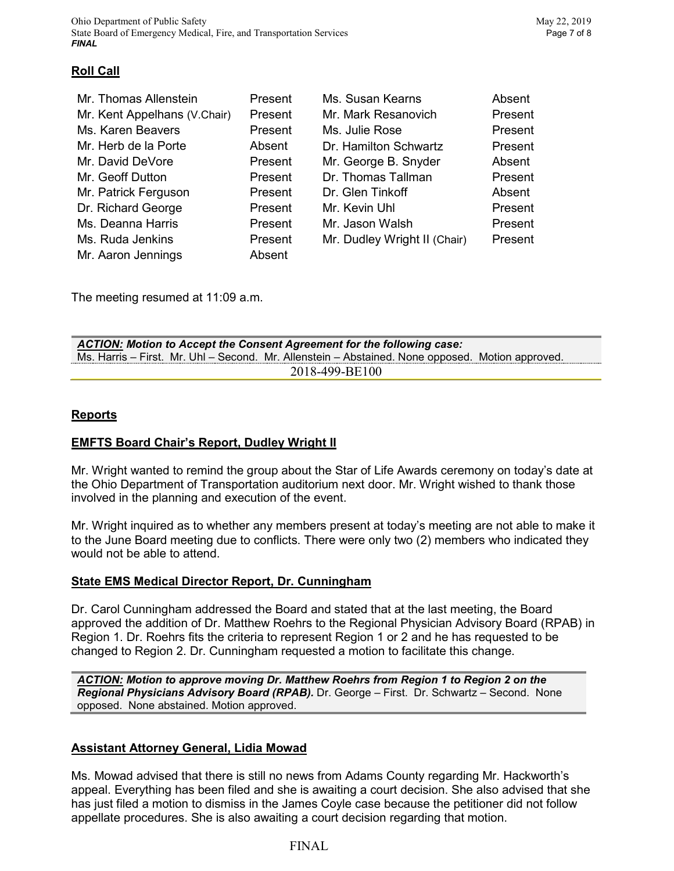# **Roll Call**

| Mr. Thomas Allenstein        | Present | Ms. Susan Kearns             | Absent  |
|------------------------------|---------|------------------------------|---------|
| Mr. Kent Appelhans (V.Chair) | Present | Mr. Mark Resanovich          | Present |
| Ms. Karen Beavers            | Present | Ms. Julie Rose               | Present |
| Mr. Herb de la Porte         | Absent  | Dr. Hamilton Schwartz        | Present |
| Mr. David DeVore             | Present | Mr. George B. Snyder         | Absent  |
| Mr. Geoff Dutton             | Present | Dr. Thomas Tallman           | Present |
| Mr. Patrick Ferguson         | Present | Dr. Glen Tinkoff             | Absent  |
| Dr. Richard George           | Present | Mr. Kevin Uhl                | Present |
| Ms. Deanna Harris            | Present | Mr. Jason Walsh              | Present |
| Ms. Ruda Jenkins             | Present | Mr. Dudley Wright II (Chair) | Present |
| Mr. Aaron Jennings           | Absent  |                              |         |

The meeting resumed at 11:09 a.m.

| ACTION: Motion to Accept the Consent Agreement for the following case:                           |  |  |  |  |  |
|--------------------------------------------------------------------------------------------------|--|--|--|--|--|
| Ms. Harris – First. Mr. Uhl – Second. Mr. Allenstein – Abstained. None opposed. Motion approved. |  |  |  |  |  |
| 2018-499-BE100                                                                                   |  |  |  |  |  |

## **Reports**

## **EMFTS Board Chair's Report, Dudley Wright II**

Mr. Wright wanted to remind the group about the Star of Life Awards ceremony on today's date at the Ohio Department of Transportation auditorium next door. Mr. Wright wished to thank those involved in the planning and execution of the event.

Mr. Wright inquired as to whether any members present at today's meeting are not able to make it to the June Board meeting due to conflicts. There were only two (2) members who indicated they would not be able to attend.

## **State EMS Medical Director Report, Dr. Cunningham**

Dr. Carol Cunningham addressed the Board and stated that at the last meeting, the Board approved the addition of Dr. Matthew Roehrs to the Regional Physician Advisory Board (RPAB) in Region 1. Dr. Roehrs fits the criteria to represent Region 1 or 2 and he has requested to be changed to Region 2. Dr. Cunningham requested a motion to facilitate this change.

*ACTION: Motion to approve moving Dr. Matthew Roehrs from Region 1 to Region 2 on the Regional Physicians Advisory Board (RPAB).* Dr. George – First. Dr. Schwartz – Second. None opposed. None abstained. Motion approved.

# **Assistant Attorney General, Lidia Mowad**

Ms. Mowad advised that there is still no news from Adams County regarding Mr. Hackworth's appeal. Everything has been filed and she is awaiting a court decision. She also advised that she has just filed a motion to dismiss in the James Coyle case because the petitioner did not follow appellate procedures. She is also awaiting a court decision regarding that motion.